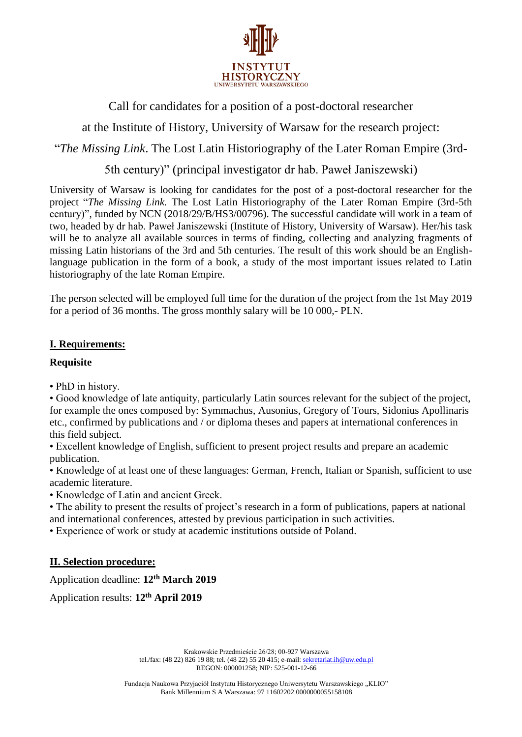

Call for candidates for a position of a post-doctoral researcher

at the Institute of History, University of Warsaw for the research project:

"*The Missing Link*. The Lost Latin Historiography of the Later Roman Empire (3rd-

5th century)" (principal investigator dr hab. Paweł Janiszewski)

University of Warsaw is looking for candidates for the post of a post-doctoral researcher for the project "*The Missing Link.* The Lost Latin Historiography of the Later Roman Empire (3rd-5th century)", funded by NCN (2018/29/B/HS3/00796). The successful candidate will work in a team of two, headed by dr hab. Paweł Janiszewski (Institute of History, University of Warsaw). Her/his task will be to analyze all available sources in terms of finding, collecting and analyzing fragments of missing Latin historians of the 3rd and 5th centuries. The result of this work should be an Englishlanguage publication in the form of a book, a study of the most important issues related to Latin historiography of the late Roman Empire.

The person selected will be employed full time for the duration of the project from the 1st May 2019 for a period of 36 months. The gross monthly salary will be 10 000,- PLN.

# **I. Requirements:**

# **Requisite**

• PhD in history.

• Good knowledge of late antiquity, particularly Latin sources relevant for the subject of the project, for example the ones composed by: Symmachus, Ausonius, Gregory of Tours, Sidonius Apollinaris etc., confirmed by publications and / or diploma theses and papers at international conferences in this field subject.

• Excellent knowledge of English, sufficient to present project results and prepare an academic publication.

• Knowledge of at least one of these languages: German, French, Italian or Spanish, sufficient to use academic literature.

• Knowledge of Latin and ancient Greek.

• The ability to present the results of project's research in a form of publications, papers at national and international conferences, attested by previous participation in such activities.

• Experience of work or study at academic institutions outside of Poland.

# **II. Selection procedure:**

Application deadline: **12 th March 2019**

Application results: **12th April 2019**

Krakowskie Przedmieście 26/28; 00-927 Warszawa tel./fax: (48 22) 826 19 88; tel. (48 22) 55 20 415; e-mail[: sekretariat.ih@uw.edu.pl](mailto:sekretariat.ih@uw.edu.pl) REGON: 000001258; NIP: 525-001-12-66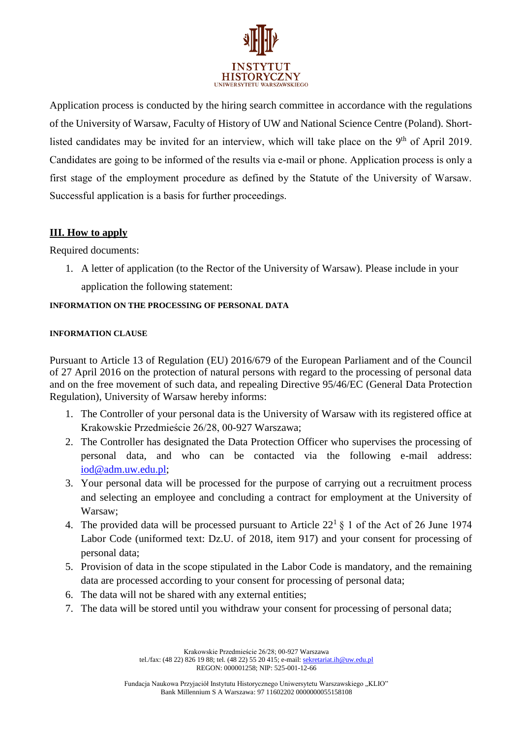

Application process is conducted by the hiring search committee in accordance with the regulations of the University of Warsaw, Faculty of History of UW and National Science Centre (Poland). Shortlisted candidates may be invited for an interview, which will take place on the 9<sup>th</sup> of April 2019. Candidates are going to be informed of the results via e-mail or phone. Application process is only a first stage of the employment procedure as defined by the Statute of the University of Warsaw. Successful application is a basis for further proceedings.

## **III. How to apply**

Required documents:

1. A letter of application (to the Rector of the University of Warsaw). Please include in your application the following statement:

## **INFORMATION ON THE PROCESSING OF PERSONAL DATA**

### **INFORMATION CLAUSE**

Pursuant to Article 13 of Regulation (EU) 2016/679 of the European Parliament and of the Council of 27 April 2016 on the protection of natural persons with regard to the processing of personal data and on the free movement of such data, and repealing Directive 95/46/EC (General Data Protection Regulation), University of Warsaw hereby informs:

- 1. The Controller of your personal data is the University of Warsaw with its registered office at Krakowskie Przedmieście 26/28, 00-927 Warszawa;
- 2. The Controller has designated the Data Protection Officer who supervises the processing of personal data, and who can be contacted via the following e-mail address: [iod@adm.uw.edu.pl;](mailto:iod@adm.uw.edu.pl)
- 3. Your personal data will be processed for the purpose of carrying out a recruitment process and selecting an employee and concluding a contract for employment at the University of Warsaw;
- 4. The provided data will be processed pursuant to Article  $22^1 \text{ } \text{\&} 1$  of the Act of 26 June 1974 Labor Code (uniformed text: Dz.U. of 2018, item 917) and your consent for processing of personal data;
- 5. Provision of data in the scope stipulated in the Labor Code is mandatory, and the remaining data are processed according to your consent for processing of personal data;
- 6. The data will not be shared with any external entities;
- 7. The data will be stored until you withdraw your consent for processing of personal data;

Krakowskie Przedmieście 26/28; 00-927 Warszawa tel./fax: (48 22) 826 19 88; tel. (48 22) 55 20 415; e-mail[: sekretariat.ih@uw.edu.pl](mailto:sekretariat.ih@uw.edu.pl) REGON: 000001258; NIP: 525-001-12-66